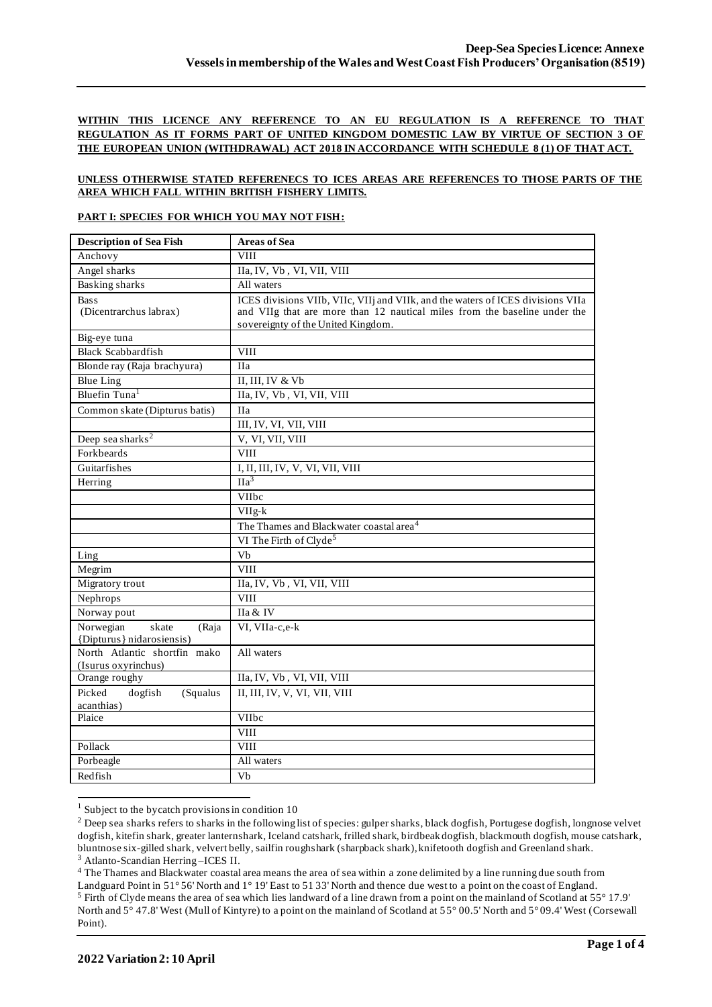## **WITHIN THIS LICENCE ANY REFERENCE TO AN EU REGULATION IS A REFERENCE TO THAT REGULATION AS IT FORMS PART OF UNITED KINGDOM DOMESTIC LAW BY VIRTUE OF SECTION 3 OF THE EUROPEAN UNION (WITHDRAWAL) ACT 2018 IN ACCORDANCE WITH SCHEDULE 8 (1) OF THAT ACT.**

### **UNLESS OTHERWISE STATED REFERENECS TO ICES AREAS ARE REFERENCES TO THOSE PARTS OF THE AREA WHICH FALL WITHIN BRITISH FISHERY LIMITS.**

#### **PART I: SPECIES FOR WHICH YOU MAY NOT FISH:**

| <b>Description of Sea Fish</b>                           | <b>Areas of Sea</b>                                                                                                                                                                                |
|----------------------------------------------------------|----------------------------------------------------------------------------------------------------------------------------------------------------------------------------------------------------|
| Anchovy                                                  | <b>VIII</b>                                                                                                                                                                                        |
| Angel sharks                                             | IIa, IV, Vb, VI, VII, VIII                                                                                                                                                                         |
| <b>Basking sharks</b>                                    | All waters                                                                                                                                                                                         |
| <b>Bass</b><br>(Dicentrarchus labrax)                    | ICES divisions VIIb, VIIc, VIIj and VIIk, and the waters of ICES divisions VIIa<br>and VIIg that are more than 12 nautical miles from the baseline under the<br>sovereignty of the United Kingdom. |
| Big-eye tuna                                             |                                                                                                                                                                                                    |
| <b>Black Scabbardfish</b>                                | <b>VIII</b>                                                                                                                                                                                        |
| Blonde ray (Raja brachyura)                              | <b>IIa</b>                                                                                                                                                                                         |
| <b>Blue Ling</b>                                         | II, III, IV & Vb                                                                                                                                                                                   |
| Bluefin Tuna <sup>1</sup>                                | IIa, IV, Vb, VI, VII, VIII                                                                                                                                                                         |
| Common skate (Dipturus batis)                            | <b>IIa</b>                                                                                                                                                                                         |
|                                                          | III, IV, VI, VII, VIII                                                                                                                                                                             |
| Deep sea sharks <sup>2</sup>                             | V, VI, VII, VIII                                                                                                                                                                                   |
| Forkbeards                                               | <b>VIII</b>                                                                                                                                                                                        |
| Guitarfishes                                             | I, II, III, IV, V, VI, VII, VIII                                                                                                                                                                   |
| Herring                                                  | $\Pi a^3$                                                                                                                                                                                          |
|                                                          | VIIbc                                                                                                                                                                                              |
|                                                          | VIIg-k                                                                                                                                                                                             |
|                                                          | The Thames and Blackwater coastal area <sup>4</sup>                                                                                                                                                |
|                                                          | VI The Firth of Clyde <sup>5</sup>                                                                                                                                                                 |
| Ling                                                     | Vb                                                                                                                                                                                                 |
| Megrim                                                   | <b>VIII</b>                                                                                                                                                                                        |
| Migratory trout                                          | IIa, IV, Vb, VI, VII, VIII                                                                                                                                                                         |
| Nephrops                                                 | <b>VIII</b>                                                                                                                                                                                        |
| Norway pout                                              | IIa & IV                                                                                                                                                                                           |
| Norwegian<br>skate<br>(Raja<br>{Dipturus} nidarosiensis) | VI, VIIa-c,e-k                                                                                                                                                                                     |
| North Atlantic shortfin mako<br>(Isurus oxyrinchus)      | All waters                                                                                                                                                                                         |
| Orange roughy                                            | IIa, IV, Vb, VI, VII, VIII                                                                                                                                                                         |
| Picked<br>dogfish<br>(Squalus<br>acanthias)              | II, III, IV, V, VI, VII, VIII                                                                                                                                                                      |
| Plaice                                                   | <b>VIIbc</b>                                                                                                                                                                                       |
|                                                          | <b>VIII</b>                                                                                                                                                                                        |
| Pollack                                                  | <b>VIII</b>                                                                                                                                                                                        |
| Porbeagle                                                | All waters                                                                                                                                                                                         |
| Redfish                                                  | Vb                                                                                                                                                                                                 |

 $1$  Subject to the bycatch provisions in condition 10

<sup>4</sup> The Thames and Blackwater coastal area means the area of sea within a zone delimited by a line running due south from

<sup>&</sup>lt;sup>2</sup> Deep sea sharks refers to sharks in the following list of species: gulper sharks, black dogfish, Portugese dogfish, longnose velvet dogfish, kitefin shark, greater lanternshark, Iceland catshark, frilled shark, birdbeak dogfish, blackmouth dogfish, mouse catshark, bluntnose six-gilled shark, velvert belly, sailfin roughshark (sharpback shark), knifetooth dogfish and Greenland shark. <sup>3</sup> Atlanto-Scandian Herring –ICES II.

Landguard Point in 51° 56' North and 1° 19' East to 51 33' North and thence due west to a point on the coast of England. <sup>5</sup> Firth of Clyde means the area of sea which lies landward of a line drawn from a point on the mainland of Scotland at 55° 17.9' North and 5° 47.8' West (Mull of Kintyre) to a point on the mainland of Scotland at 55° 00.5' North and 5° 09.4' West (Corsewall Point).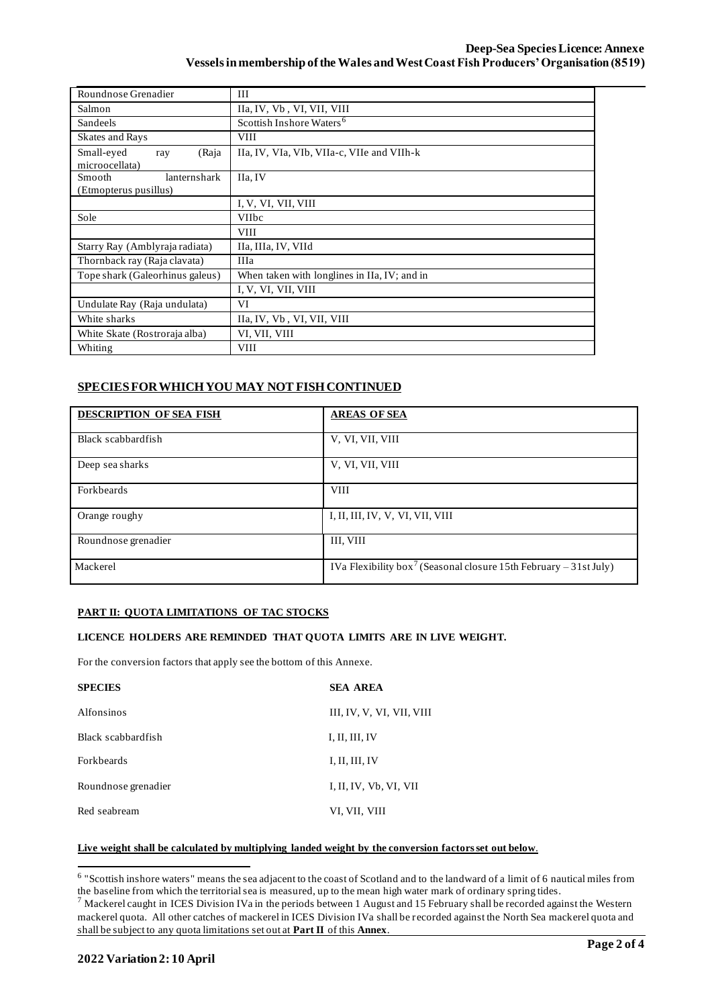| Roundnose Grenadier                             | Ш                                            |  |  |  |  |
|-------------------------------------------------|----------------------------------------------|--|--|--|--|
| Salmon                                          | IIa, IV, Vb, VI, VII, VIII                   |  |  |  |  |
| Sandeels                                        | Scottish Inshore Waters <sup>6</sup>         |  |  |  |  |
| <b>Skates and Rays</b>                          | <b>VIII</b>                                  |  |  |  |  |
| Small-eyed<br>(Raja<br>ray<br>microocellata)    | IIa, IV, VIa, VIb, VIIa-c, VIIe and VIIh-k   |  |  |  |  |
| Smooth<br>lanternshark<br>(Etmopterus pusillus) | IIa, IV                                      |  |  |  |  |
|                                                 | I, V, VI, VII, VIII                          |  |  |  |  |
| Sole                                            | <b>VIIbc</b>                                 |  |  |  |  |
|                                                 | <b>VIII</b>                                  |  |  |  |  |
| Starry Ray (Amblyraja radiata)                  | IIa, IIIa, IV, VIId                          |  |  |  |  |
| Thornback ray (Raja clavata)                    | <b>IIIa</b>                                  |  |  |  |  |
| Tope shark (Galeorhinus galeus)                 | When taken with longlines in IIa, IV; and in |  |  |  |  |
|                                                 | I, V, VI, VII, VIII                          |  |  |  |  |
| Undulate Ray (Raja undulata)                    | VI                                           |  |  |  |  |
| White sharks                                    | IIa, IV, Vb, VI, VII, VIII                   |  |  |  |  |
| White Skate (Rostroraja alba)                   | VI, VII, VIII                                |  |  |  |  |
| Whiting                                         | <b>VIII</b>                                  |  |  |  |  |

# **SPECIES FOR WHICH YOU MAY NOT FISH CONTINUED**

| <b>DESCRIPTION OF SEA FISH</b> | <b>AREAS OF SEA</b>                                                           |
|--------------------------------|-------------------------------------------------------------------------------|
| Black scabbardfish             | V, VI, VII, VIII                                                              |
| Deep sea sharks                | V, VI, VII, VIII                                                              |
| Forkbeards                     | <b>VIII</b>                                                                   |
| Orange roughy                  | I, II, III, IV, V, VI, VII, VIII                                              |
| Roundnose grenadier            | III, VIII                                                                     |
| Mackerel                       | IVa Flexibility box <sup>7</sup> (Seasonal closure 15th February – 31st July) |

## **PART II: QUOTA LIMITATIONS OF TAC STOCKS**

### **LICENCE HOLDERS ARE REMINDED THAT QUOTA LIMITS ARE IN LIVE WEIGHT.**

For the conversion factors that apply see the bottom of this Annexe.

| <b>SPECIES</b>      | <b>SEA AREA</b>           |
|---------------------|---------------------------|
| <b>Alfonsinos</b>   | III, IV, V, VI, VII, VIII |
| Black scabbardfish  | I, II, III, IV            |
| <b>Forkheards</b>   | I, II, III, IV            |
| Roundnose grenadier | I, II, IV, Vb, VI, VII    |
| Red seabream        | VI, VII, VIII             |

#### **Live weight shall be calculated by multiplying landed weight by the conversion factors set out below**.

<sup>&</sup>lt;sup>6</sup> "Scottish inshore waters" means the sea adjacent to the coast of Scotland and to the landward of a limit of 6 nautical miles from the baseline from which the territorial sea is measured, up to the mean high water mark of ordinary spring tides.

 $^7$  Mackerel caught in ICES Division IVa in the periods between 1 August and 15 February shall be recorded against the Western mackerel quota. All other catches of mackerel in ICES Division IVa shall be recorded against the North Sea mackerel quota and shall be subject to any quota limitations set out at **Part II** of this **Annex**.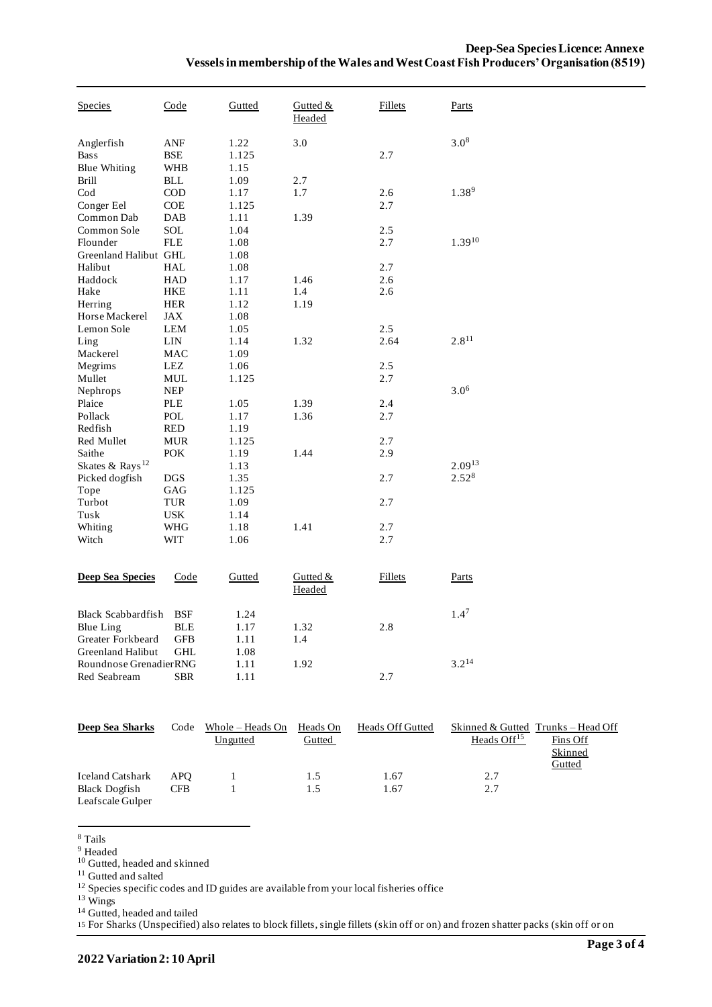| Species                                                                                 | <u>Code</u>                                   | <b>Gutted</b>                | Gutted $&$<br>Headed | <b>Fillets</b> | <u>Parts</u>      |
|-----------------------------------------------------------------------------------------|-----------------------------------------------|------------------------------|----------------------|----------------|-------------------|
| Anglerfish<br><b>Bass</b><br><b>Blue Whiting</b>                                        | ANF<br>BSE<br><b>WHB</b>                      | 1.22<br>1.125<br>1.15        | 3.0                  | 2.7            | $3.0^{8}$         |
| <b>Brill</b><br>$\mathrm{Cod}$<br>Conger Eel                                            | <b>BLL</b><br>$\rm COD$<br><b>COE</b>         | 1.09<br>1.17<br>1.125        | 2.7<br>1.7           | 2.6<br>2.7     | $1.38^{9}$        |
| Common Dab<br>Common Sole<br>Flounder                                                   | <b>DAB</b><br><b>SOL</b><br><b>FLE</b>        | 1.11<br>1.04<br>1.08         | 1.39                 | 2.5<br>2.7     | $1.39^{10}$       |
| Greenland Halibut GHL<br>Halibut<br>Haddock                                             | <b>HAL</b><br><b>HAD</b>                      | 1.08<br>1.08<br>1.17         | 1.46                 | 2.7<br>2.6     |                   |
| Hake<br>Herring<br>Horse Mackerel                                                       | <b>HKE</b><br><b>HER</b><br>JAX               | 1.11<br>1.12<br>1.08         | 1.4<br>1.19          | 2.6            |                   |
| Lemon Sole<br>Ling<br>Mackerel                                                          | LEM<br>LIN<br>MAC                             | 1.05<br>1.14<br>1.09         | 1.32                 | 2.5<br>2.64    | $2.8^{11}$        |
| Megrims<br>Mullet<br>Nephrops                                                           | <b>LEZ</b><br>MUL<br><b>NEP</b>               | 1.06<br>1.125                |                      | 2.5<br>2.7     | $3.0^{6}$         |
| Plaice<br>Pollack<br>Redfish                                                            | PLE<br>POL<br><b>RED</b>                      | 1.05<br>1.17<br>1.19         | 1.39<br>1.36         | 2.4<br>2.7     |                   |
| Red Mullet<br>Saithe<br>Skates & Rays <sup>12</sup>                                     | <b>MUR</b><br>POK                             | 1.125<br>1.19                | 1.44                 | 2.7<br>2.9     | $2.09^{13}$       |
| Picked dogfish<br>Tope                                                                  | <b>DGS</b><br>GAG                             | 1.13<br>1.35<br>1.125        |                      | 2.7<br>2.7     | 2.52 <sup>8</sup> |
| Turbot<br>Tusk<br>Whiting                                                               | TUR<br><b>USK</b><br>WHG                      | 1.09<br>1.14<br>1.18         | 1.41                 | 2.7            |                   |
| Witch                                                                                   | WIT                                           | 1.06                         |                      | 2.7            |                   |
| <b>Deep Sea Species</b>                                                                 | Code                                          | Gutted                       | Gutted &<br>Headed   | <b>Fillets</b> | Parts             |
| <b>Black Scabbardfish</b><br>Blue Ling<br>Greater Forkbeard<br><b>Greenland Halibut</b> | <b>BSF</b><br><b>BLE</b><br>GFB<br><b>GHL</b> | 1.24<br>1.17<br>1.11<br>1.08 | 1.32<br>1.4          | 2.8            | 1.4 <sup>7</sup>  |
| Roundnose GrenadierRNG<br>Red Seabream                                                  | <b>SBR</b>                                    | 1.11<br>1.11                 | 1.92                 | 2.7            | $3.2^{14}$        |

| Deep Sea Sharks         | Code       | Whole – Heads On | Heads On | <b>Heads Off Gutted</b> |                         | Skinned & Gutted Trunks – Head Off |
|-------------------------|------------|------------------|----------|-------------------------|-------------------------|------------------------------------|
|                         |            | Ungutted         | Gutted   |                         | Heads Off <sup>15</sup> | Fins Off                           |
|                         |            |                  |          |                         |                         | Skinned                            |
|                         |            |                  |          |                         |                         | <u>Gutted</u>                      |
| <b>Iceland Catshark</b> | <b>APO</b> |                  | 1.5      | 1.67                    | 2.7                     |                                    |
| <b>Black Dogfish</b>    | <b>CFB</b> |                  | 1.5      | l .67                   | 2.7                     |                                    |
| Leafscale Gulper        |            |                  |          |                         |                         |                                    |

<sup>8</sup> Tails

<sup>9</sup> Headed

<sup>10</sup> Gutted, headed and skinned

<sup>11</sup> Gutted and salted

<sup>12</sup> Species specific codes and ID guides are available from your local fisheries office

<sup>13</sup> Wings

<sup>14</sup> Gutted, headed and tailed

15 For Sharks (Unspecified) also relates to block fillets, single fillets (skin off or on) and frozen shatter packs (skin off or on